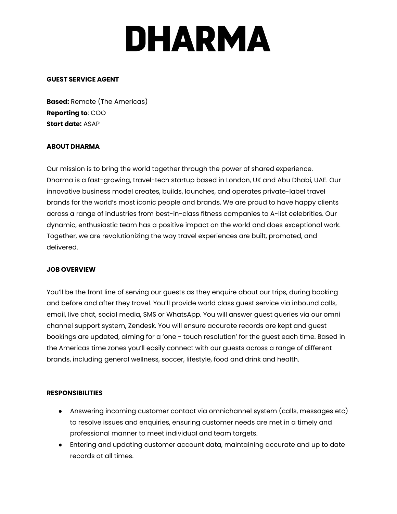# **DHARMA**

#### **GUEST SERVICE AGENT**

**Based:** Remote (The Americas) **Reporting to**: COO **Start date:** ASAP

## **ABOUT DHARMA**

Our mission is to bring the world together through the power of shared experience. Dharma is a fast-growing, travel-tech startup based in London, UK and Abu Dhabi, UAE. Our innovative business model creates, builds, launches, and operates private-label travel brands for the world's most iconic people and brands. We are proud to have happy clients across a range of industries from best-in-class fitness companies to A-list celebrities. Our dynamic, enthusiastic team has a positive impact on the world and does exceptional work. Together, we are revolutionizing the way travel experiences are built, promoted, and delivered.

#### **JOB OVERVIEW**

You'll be the front line of serving our guests as they enquire about our trips, during booking and before and after they travel. You'll provide world class guest service via inbound calls, email, live chat, social media, SMS or WhatsApp. You will answer guest queries via our omni channel support system, Zendesk. You will ensure accurate records are kept and guest bookings are updated, aiming for a 'one - touch resolution' for the guest each time. Based in the Americas time zones you'll easily connect with our guests across a range of different brands, including general wellness, soccer, lifestyle, food and drink and health.

#### **RESPONSIBILITIES**

- Answering incoming customer contact via omnichannel system (calls, messages etc) to resolve issues and enquiries, ensuring customer needs are met in a timely and professional manner to meet individual and team targets.
- Entering and updating customer account data, maintaining accurate and up to date records at all times.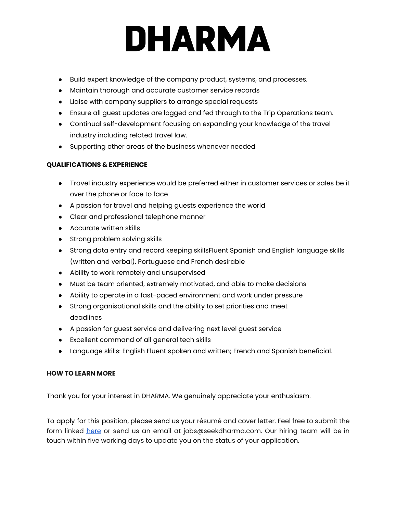## **DHARMA**

- Build expert knowledge of the company product, systems, and processes.
- Maintain thorough and accurate customer service records
- Liaise with company suppliers to arrange special requests
- Ensure all guest updates are logged and fed through to the Trip Operations team.
- Continual self-development focusing on expanding your knowledge of the travel industry including related travel law.
- Supporting other areas of the business whenever needed

## **QUALIFICATIONS & EXPERIENCE**

- Travel industry experience would be preferred either in customer services or sales be it over the phone or face to face
- A passion for travel and helping guests experience the world
- Clear and professional telephone manner
- Accurate written skills
- Strong problem solving skills
- Strong data entry and record keeping skillsFluent Spanish and English language skills (written and verbal). Portuguese and French desirable
- Ability to work remotely and unsupervised
- Must be team oriented, extremely motivated, and able to make decisions
- Ability to operate in a fast-paced environment and work under pressure
- Strong organisational skills and the ability to set priorities and meet deadlines
- A passion for guest service and delivering next level guest service
- Excellent command of all general tech skills
- Language skills: English Fluent spoken and written; French and Spanish beneficial.

## **HOW TO LEARN MORE**

Thank you for your interest in DHARMA. We genuinely appreciate your enthusiasm.

To apply for this position, please send us your résumé and cover letter. Feel free to submit the form linked [here](https://forms.monday.com/forms/28055477905dd1a10e38cc0067dcdbe6?r=use1) or send us an email at jobs@seekdharma.com. Our hiring team will be in touch within five working days to update you on the status of your application.